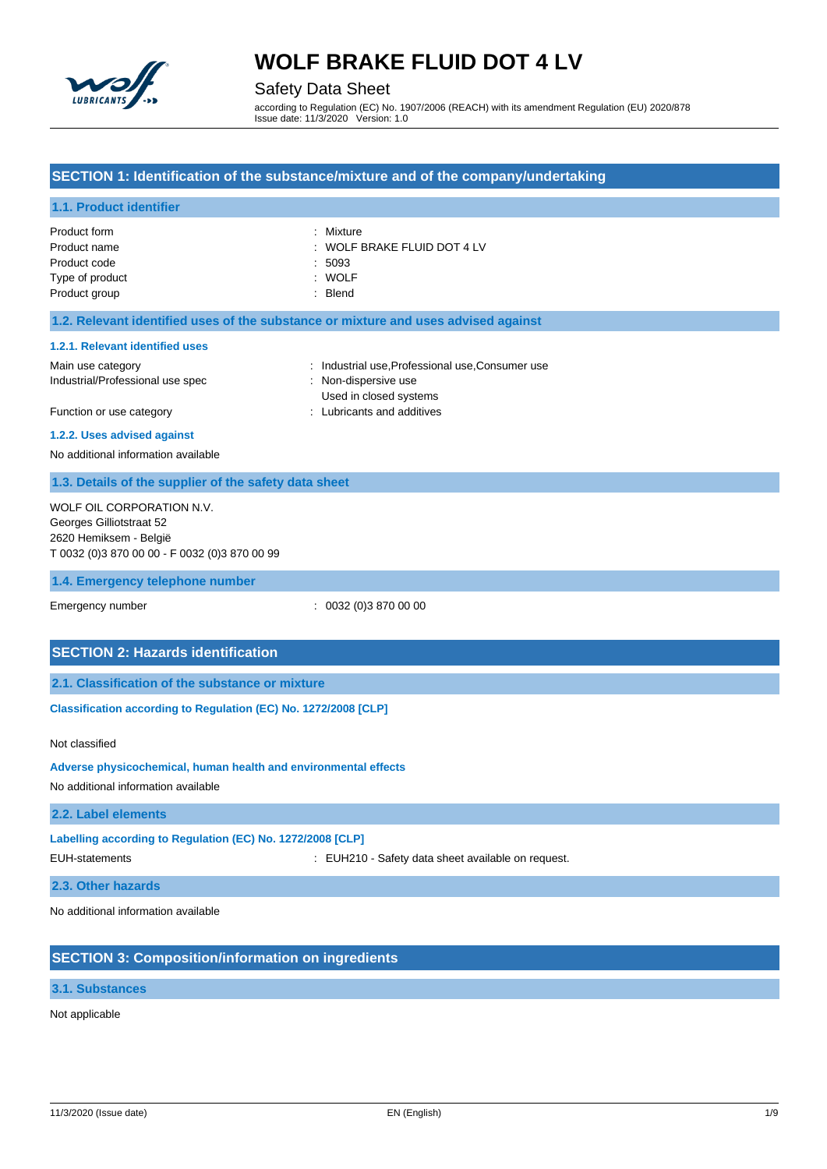

### Safety Data Sheet

according to Regulation (EC) No. 1907/2006 (REACH) with its amendment Regulation (EU) 2020/878 Issue date: 11/3/2020 Version: 1.0

### **SECTION 1: Identification of the substance/mixture and of the company/undertaking**

### **1.1. Product identifier**

| Product form    | : Mixture                       |
|-----------------|---------------------------------|
| Product name    | $\pm$ WOLF BRAKE FLUID DOT 4 LV |
| Product code    | :5093                           |
| Type of product | : WOLF                          |
| Product group   | : Blend                         |

#### **1.2. Relevant identified uses of the substance or mixture and uses advised against**

#### **1.2.1. Relevant identified uses**

Industrial/Professional use spec : Non-dispersive use

Main use category **industrial use, Professional use, Consumer use** in a label of the stategory in the stategory Used in closed systems Function or use category **Example 20** Function or use category **in the case of the case of the case of the case of the case of the case of the case of the case of the case of the case of the case of the case of the case of** 

# **1.2.2. Uses advised against**

No additional information available

### **1.3. Details of the supplier of the safety data sheet**

WOLF OIL CORPORATION N.V. Georges Gilliotstraat 52 2620 Hemiksem - België T 0032 (0)3 870 00 00 - F 0032 (0)3 870 00 99

#### **1.4. Emergency telephone number**

Emergency number : 0032 (0)3 870 00 00

## **SECTION 2: Hazards identification**

**2.1. Classification of the substance or mixture**

**Classification according to Regulation (EC) No. 1272/2008 [CLP]** 

#### Not classified

**Adverse physicochemical, human health and environmental effects**

No additional information available

#### **2.2. Label elements**

#### **Labelling according to Regulation (EC) No. 1272/2008 [CLP]**

EUH-statements : EUH210 - Safety data sheet available on request.

**2.3. Other hazards**

No additional information available

# **SECTION 3: Composition/information on ingredients**

## **3.1. Substances**

Not applicable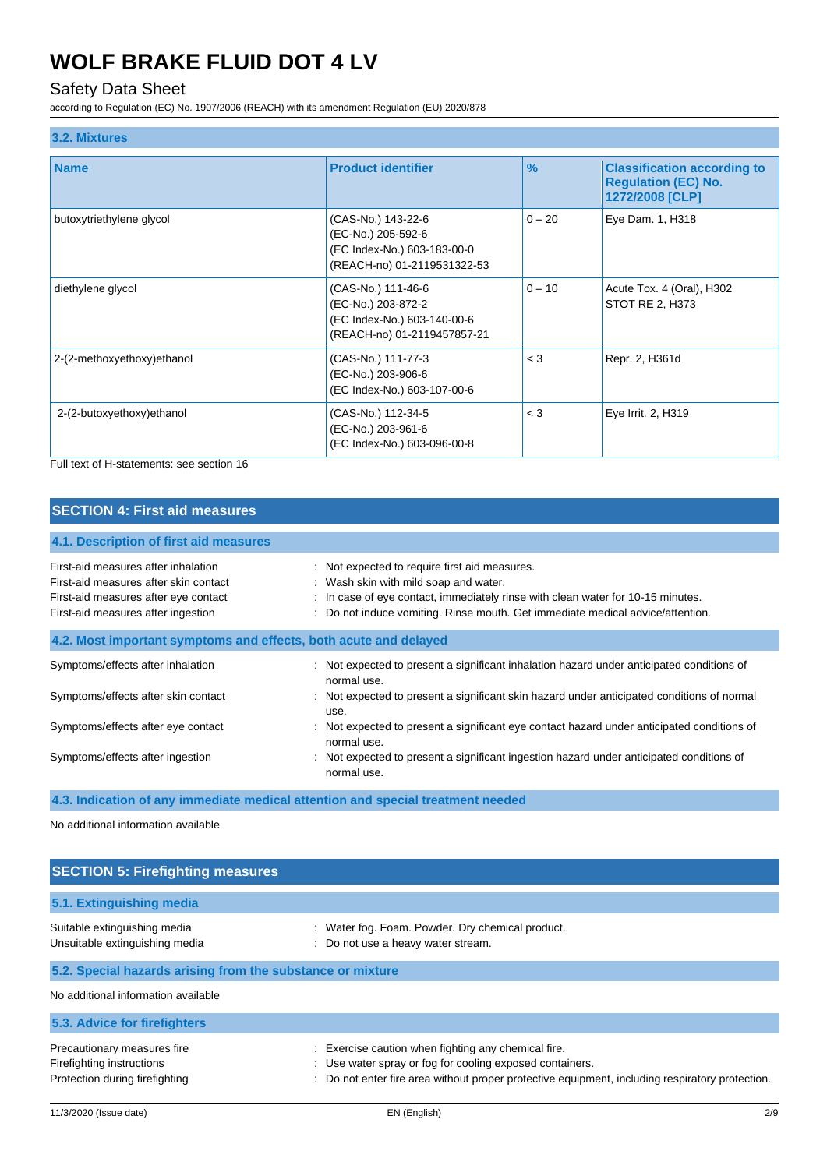# Safety Data Sheet

according to Regulation (EC) No. 1907/2006 (REACH) with its amendment Regulation (EU) 2020/878

| <b>Name</b>                 | <b>Product identifier</b>                                                                              | $\frac{9}{6}$ | <b>Classification according to</b><br><b>Regulation (EC) No.</b><br>1272/2008 [CLP] |
|-----------------------------|--------------------------------------------------------------------------------------------------------|---------------|-------------------------------------------------------------------------------------|
| butoxytriethylene glycol    | (CAS-No.) 143-22-6<br>(EC-No.) 205-592-6<br>(EC Index-No.) 603-183-00-0<br>(REACH-no) 01-2119531322-53 | $0 - 20$      | Eye Dam. 1, H318                                                                    |
| diethylene glycol           | (CAS-No.) 111-46-6<br>(EC-No.) 203-872-2<br>(EC Index-No.) 603-140-00-6<br>(REACH-no) 01-2119457857-21 | $0 - 10$      | Acute Tox. 4 (Oral), H302<br>STOT RE 2, H373                                        |
| 2-(2-methoxyethoxy) ethanol | (CAS-No.) 111-77-3<br>(EC-No.) 203-906-6<br>(EC Index-No.) 603-107-00-6                                | $<$ 3         | Repr. 2, H361d                                                                      |
| 2-(2-butoxyethoxy) ethanol  | (CAS-No.) 112-34-5<br>(EC-No.) 203-961-6<br>(EC Index-No.) 603-096-00-8                                | $<$ 3         | Eye Irrit. 2, H319                                                                  |

Full text of H-statements: see section 16

# **SECTION 4: First aid measures**

| 4.1. Description of first aid measures                                                                                                                     |                                                                                                                                                                                                                                                             |  |
|------------------------------------------------------------------------------------------------------------------------------------------------------------|-------------------------------------------------------------------------------------------------------------------------------------------------------------------------------------------------------------------------------------------------------------|--|
| First-aid measures after inhalation<br>First-aid measures after skin contact<br>First-aid measures after eye contact<br>First-aid measures after ingestion | : Not expected to require first aid measures.<br>: Wash skin with mild soap and water.<br>: In case of eye contact, immediately rinse with clean water for 10-15 minutes.<br>: Do not induce vomiting. Rinse mouth. Get immediate medical advice/attention. |  |
| 4.2. Most important symptoms and effects, both acute and delayed                                                                                           |                                                                                                                                                                                                                                                             |  |
| Symptoms/effects after inhalation                                                                                                                          | : Not expected to present a significant inhalation hazard under anticipated conditions of<br>normal use.                                                                                                                                                    |  |
| Symptoms/effects after skin contact                                                                                                                        | : Not expected to present a significant skin hazard under anticipated conditions of normal<br>use.                                                                                                                                                          |  |
| Symptoms/effects after eye contact                                                                                                                         | : Not expected to present a significant eye contact hazard under anticipated conditions of<br>normal use.                                                                                                                                                   |  |
| Symptoms/effects after ingestion                                                                                                                           | : Not expected to present a significant ingestion hazard under anticipated conditions of<br>normal use.                                                                                                                                                     |  |

**4.3. Indication of any immediate medical attention and special treatment needed**

No additional information available

| <b>SECTION 5: Firefighting measures</b>                        |                                                                                                               |  |
|----------------------------------------------------------------|---------------------------------------------------------------------------------------------------------------|--|
| 5.1. Extinguishing media                                       |                                                                                                               |  |
| Suitable extinguishing media<br>Unsuitable extinguishing media | : Water fog. Foam. Powder. Dry chemical product.<br>: Do not use a heavy water stream.                        |  |
| 5.2. Special hazards arising from the substance or mixture     |                                                                                                               |  |
| No additional information available                            |                                                                                                               |  |
| 5.3. Advice for firefighters                                   |                                                                                                               |  |
| Precautionary measures fire<br>Firefighting instructions       | Exercise caution when fighting any chemical fire.<br>: Use water spray or fog for cooling exposed containers. |  |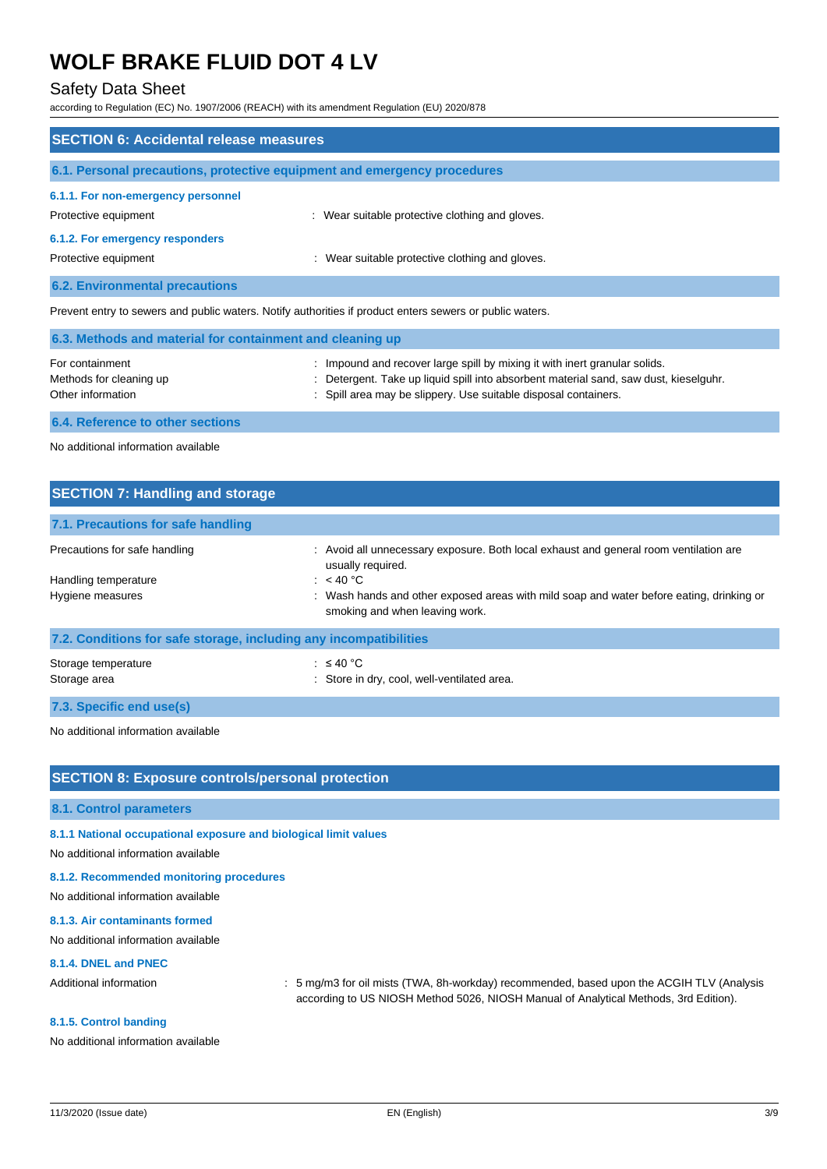## Safety Data Sheet

according to Regulation (EC) No. 1907/2006 (REACH) with its amendment Regulation (EU) 2020/878

| <b>SECTION 6: Accidental release measures</b>                                                            |                                                 |  |
|----------------------------------------------------------------------------------------------------------|-------------------------------------------------|--|
| 6.1. Personal precautions, protective equipment and emergency procedures                                 |                                                 |  |
| 6.1.1. For non-emergency personnel<br>Protective equipment                                               | : Wear suitable protective clothing and gloves. |  |
| 6.1.2. For emergency responders<br>Protective equipment                                                  | : Wear suitable protective clothing and gloves. |  |
| <b>6.2. Environmental precautions</b>                                                                    |                                                 |  |
| Prevent entry to sewers and public waters. Notify authorities if product enters sewers or public waters. |                                                 |  |

| 6.3. Methods and material for containment and cleaning up |                                                                                       |  |
|-----------------------------------------------------------|---------------------------------------------------------------------------------------|--|
| For containment                                           | : Impound and recover large spill by mixing it with inert granular solids.            |  |
| Methods for cleaning up                                   | : Detergent. Take up liquid spill into absorbent material sand, saw dust, kieselguhr. |  |
| Other information                                         | : Spill area may be slippery. Use suitable disposal containers.                       |  |

**6.4. Reference to other sections**

No additional information available

| <b>SECTION 7: Handling and storage</b>                            |                                                                                                                            |  |
|-------------------------------------------------------------------|----------------------------------------------------------------------------------------------------------------------------|--|
| 7.1. Precautions for safe handling                                |                                                                                                                            |  |
| Precautions for safe handling                                     | : Avoid all unnecessary exposure. Both local exhaust and general room ventilation are<br>usually required.                 |  |
| Handling temperature                                              | : $<$ 40 °C                                                                                                                |  |
| Hygiene measures                                                  | : Wash hands and other exposed areas with mild soap and water before eating, drinking or<br>smoking and when leaving work. |  |
| 7.2. Conditions for safe storage, including any incompatibilities |                                                                                                                            |  |
| Storage temperature<br>Storage area                               | : $\leq 40$ °C<br>: Store in dry, cool, well-ventilated area.                                                              |  |

**7.3. Specific end use(s)**

No additional information available

### **SECTION 8: Exposure controls/personal protection**

#### **8.1. Control parameters**

**8.1.1 National occupational exposure and biological limit values**

No additional information available

#### **8.1.2. Recommended monitoring procedures**

No additional information available

### **8.1.3. Air contaminants formed**

No additional information available

### **8.1.4. DNEL and PNEC**

Additional information : 5 mg/m3 for oil mists (TWA, 8h-workday) recommended, based upon the ACGIH TLV (Analysis according to US NIOSH Method 5026, NIOSH Manual of Analytical Methods, 3rd Edition).

#### **8.1.5. Control banding**

No additional information available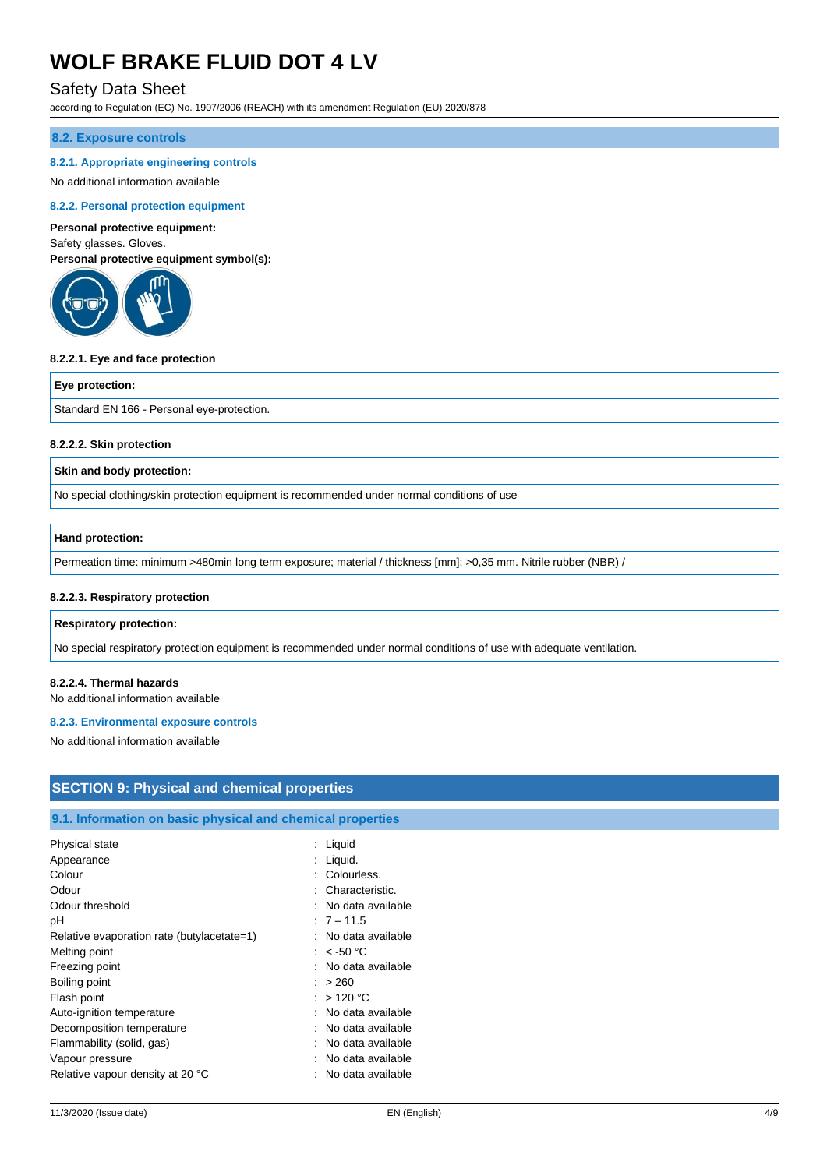## Safety Data Sheet

according to Regulation (EC) No. 1907/2006 (REACH) with its amendment Regulation (EU) 2020/878

#### **8.2. Exposure controls**

#### **8.2.1. Appropriate engineering controls**

#### No additional information available

#### **8.2.2. Personal protection equipment**

#### **Personal protective equipment:**

Safety glasses. Gloves. **Personal protective equipment symbol(s):**



#### **8.2.2.1. Eye and face protection**

#### **Eye protection:**

Standard EN 166 - Personal eye-protection.

#### **8.2.2.2. Skin protection**

#### **Skin and body protection:**

No special clothing/skin protection equipment is recommended under normal conditions of use

#### **Hand protection:**

Permeation time: minimum >480min long term exposure; material / thickness [mm]: >0,35 mm. Nitrile rubber (NBR) /

#### **8.2.2.3. Respiratory protection**

#### **Respiratory protection:**

No special respiratory protection equipment is recommended under normal conditions of use with adequate ventilation.

#### **8.2.2.4. Thermal hazards**

No additional information available

#### **8.2.3. Environmental exposure controls**

No additional information available

# **SECTION 9: Physical and chemical properties**

## **9.1. Information on basic physical and chemical properties**

| Physical state                             | : Liquid            |
|--------------------------------------------|---------------------|
| Appearance                                 | : Liquid.           |
| Colour                                     | : Colourless.       |
| Odour                                      | : Characteristic.   |
| Odour threshold                            | : No data available |
| рH                                         | $:7 - 11.5$         |
| Relative evaporation rate (butylacetate=1) | : No data available |
| Melting point                              | : $<$ -50 °C        |
| Freezing point                             | : No data available |
| Boiling point                              | : > 260             |
| Flash point                                | : $>120^{\circ}$ C  |
| Auto-ignition temperature                  | : No data available |
| Decomposition temperature                  | : No data available |
| Flammability (solid, gas)                  | : No data available |
| Vapour pressure                            | : No data available |
| Relative vapour density at 20 °C           | : No data available |
|                                            |                     |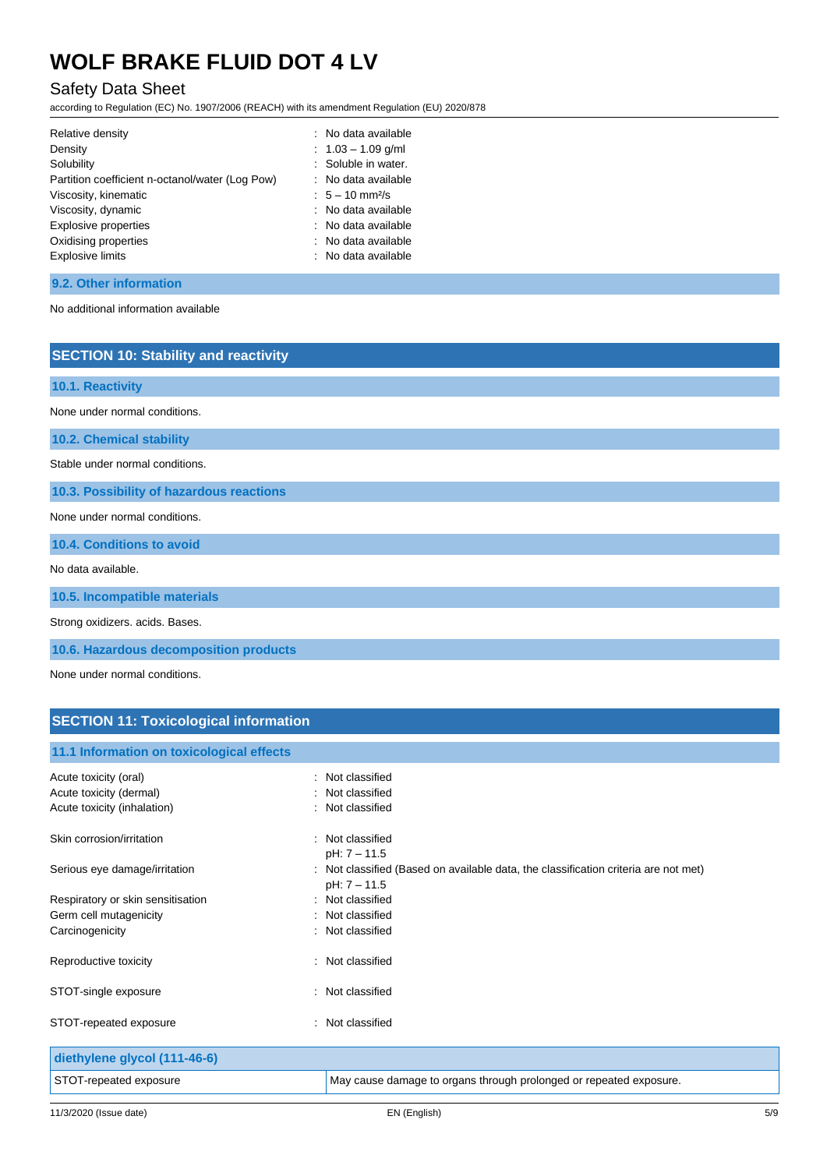# Safety Data Sheet

according to Regulation (EC) No. 1907/2006 (REACH) with its amendment Regulation (EU) 2020/878

| Relative density                                | : No data available           |
|-------------------------------------------------|-------------------------------|
| Density                                         | $: 1.03 - 1.09$ g/ml          |
| Solubility                                      | : Soluble in water.           |
| Partition coefficient n-octanol/water (Log Pow) | : No data available           |
| Viscosity, kinematic                            | $: 5 - 10$ mm <sup>2</sup> /s |
| Viscosity, dynamic                              | : No data available           |
| <b>Explosive properties</b>                     | : No data available           |
| Oxidising properties                            | : No data available           |
| <b>Explosive limits</b>                         | : No data available           |

### **9.2. Other information**

No additional information available

# **SECTION 10: Stability and reactivity**

| 10.1. Reactivity                         |  |
|------------------------------------------|--|
| None under normal conditions.            |  |
| <b>10.2. Chemical stability</b>          |  |
| Stable under normal conditions.          |  |
| 10.3. Possibility of hazardous reactions |  |
| None under normal conditions.            |  |
| 10.4. Conditions to avoid                |  |
| No data available.                       |  |
| 10.5. Incompatible materials             |  |
| Strong oxidizers. acids. Bases.          |  |
|                                          |  |

**10.6. Hazardous decomposition products**

None under normal conditions.

# **SECTION 11: Toxicological information**

# **11.1 Information on toxicological effects** Acute toxicity (oral) **Example 2** Constant Constant Constant Constant Constant Constant Constant Constant Constant Acute toxicity (dermal) **Example 2** Contract 2 Contract 2 Contract 2 Contract 2 Contract 2 Contract 2 Contract 2 Contract 2 Contract 2 Contract 2 Contract 2 Contract 2 Contract 2 Contract 2 Contract 2 Contract 2 Contract 2 Acute toxicity (inhalation) **induces**  $\cdot$  Not classified

| Skin corrosion/irritation         | : Not classified                                                                    |
|-----------------------------------|-------------------------------------------------------------------------------------|
|                                   | pH: 7 - 11.5                                                                        |
| Serious eye damage/irritation     | : Not classified (Based on available data, the classification criteria are not met) |
|                                   | pH: 7 - 11.5                                                                        |
| Respiratory or skin sensitisation | : Not classified                                                                    |
| Germ cell mutagenicity            | : Not classified                                                                    |
| Carcinogenicity                   | : Not classified                                                                    |
|                                   |                                                                                     |
| Reproductive toxicity             | : Not classified                                                                    |
|                                   |                                                                                     |
| STOT-single exposure              | : Not classified                                                                    |
|                                   |                                                                                     |
| STOT-repeated exposure            | : Not classified                                                                    |
|                                   |                                                                                     |
| diethylene glycol (111-46-6)      |                                                                                     |
| STOT-repeated exposure            | May cause damage to organs through prolonged or repeated exposure.                  |
|                                   |                                                                                     |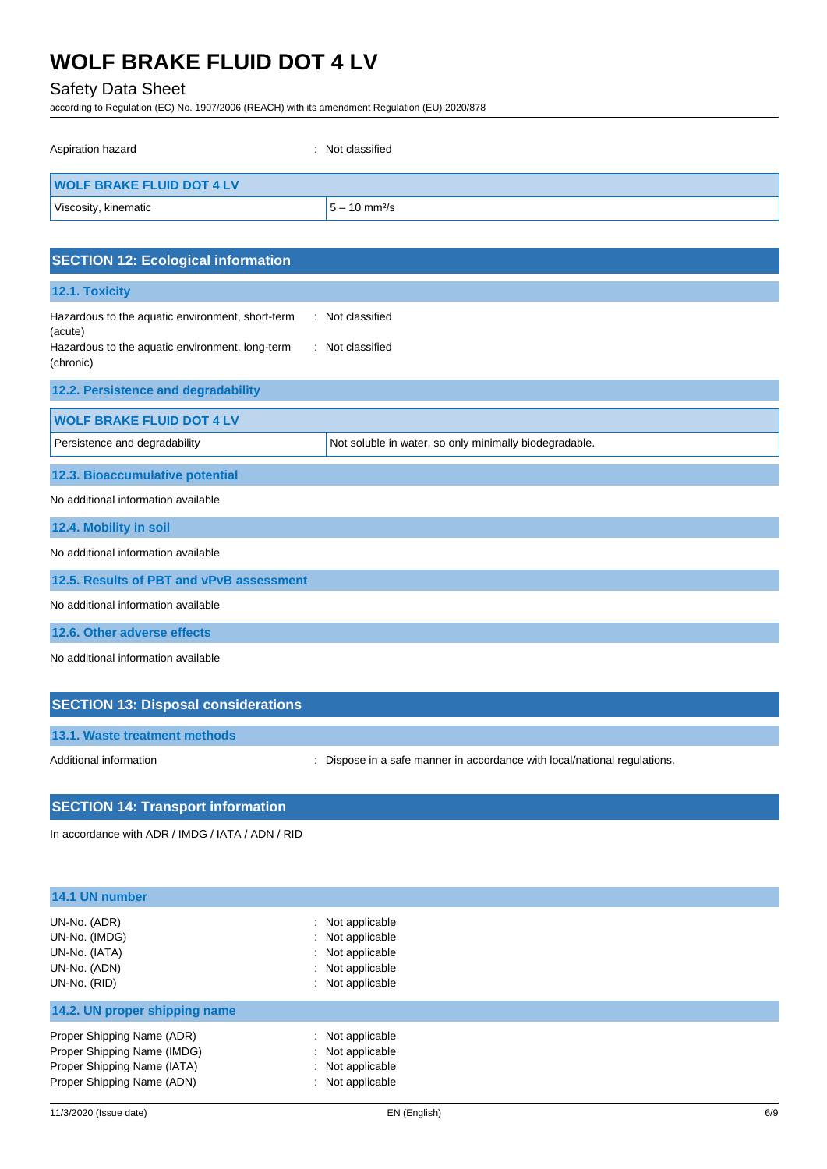# Safety Data Sheet

according to Regulation (EC) No. 1907/2006 (REACH) with its amendment Regulation (EU) 2020/878

| Aspiration hazard                | : Not classified            |
|----------------------------------|-----------------------------|
| <b>WOLF BRAKE FLUID DOT 4 LV</b> |                             |
| Viscosity, kinematic             | $5 - 10$ mm <sup>2</sup> /s |

| <b>SECTION 12: Ecological information</b>                                                                                   |                                                        |  |
|-----------------------------------------------------------------------------------------------------------------------------|--------------------------------------------------------|--|
| 12.1. Toxicity                                                                                                              |                                                        |  |
| Hazardous to the aquatic environment, short-term<br>(acute)<br>Hazardous to the aquatic environment, long-term<br>(chronic) | : Not classified<br>: Not classified                   |  |
| 12.2. Persistence and degradability                                                                                         |                                                        |  |
| <b>WOLF BRAKE FLUID DOT 4 LV</b>                                                                                            |                                                        |  |
| Persistence and degradability                                                                                               | Not soluble in water, so only minimally biodegradable. |  |
| 12.3. Bioaccumulative potential                                                                                             |                                                        |  |
| No additional information available                                                                                         |                                                        |  |
| 12.4. Mobility in soil                                                                                                      |                                                        |  |
| No additional information available                                                                                         |                                                        |  |
| 12.5. Results of PBT and vPvB assessment                                                                                    |                                                        |  |
| No additional information available                                                                                         |                                                        |  |
| 12.6. Other adverse effects                                                                                                 |                                                        |  |
| No additional information available                                                                                         |                                                        |  |

| <b>SECTION 13: Disposal considerations</b> |                                                                           |
|--------------------------------------------|---------------------------------------------------------------------------|
| 13.1. Waste treatment methods              |                                                                           |
| Additional information                     | : Dispose in a safe manner in accordance with local/national regulations. |

### **SECTION 14: Transport information**

In accordance with ADR / IMDG / IATA / ADN / RID

| 14.1 UN number                                                                 |                                                                                                  |  |
|--------------------------------------------------------------------------------|--------------------------------------------------------------------------------------------------|--|
| UN-No. (ADR)<br>UN-No. (IMDG)<br>UN-No. (IATA)<br>UN-No. (ADN)<br>UN-No. (RID) | : Not applicable<br>: Not applicable<br>: Not applicable<br>: Not applicable<br>: Not applicable |  |
| 14.2. UN proper shipping name                                                  |                                                                                                  |  |
| Proper Shipping Name (ADR)                                                     | : Not applicable                                                                                 |  |
| Proper Shipping Name (IMDG)                                                    | : Not applicable                                                                                 |  |
| Proper Shipping Name (IATA)                                                    | : Not applicable                                                                                 |  |
| Proper Shipping Name (ADN)                                                     | : Not applicable                                                                                 |  |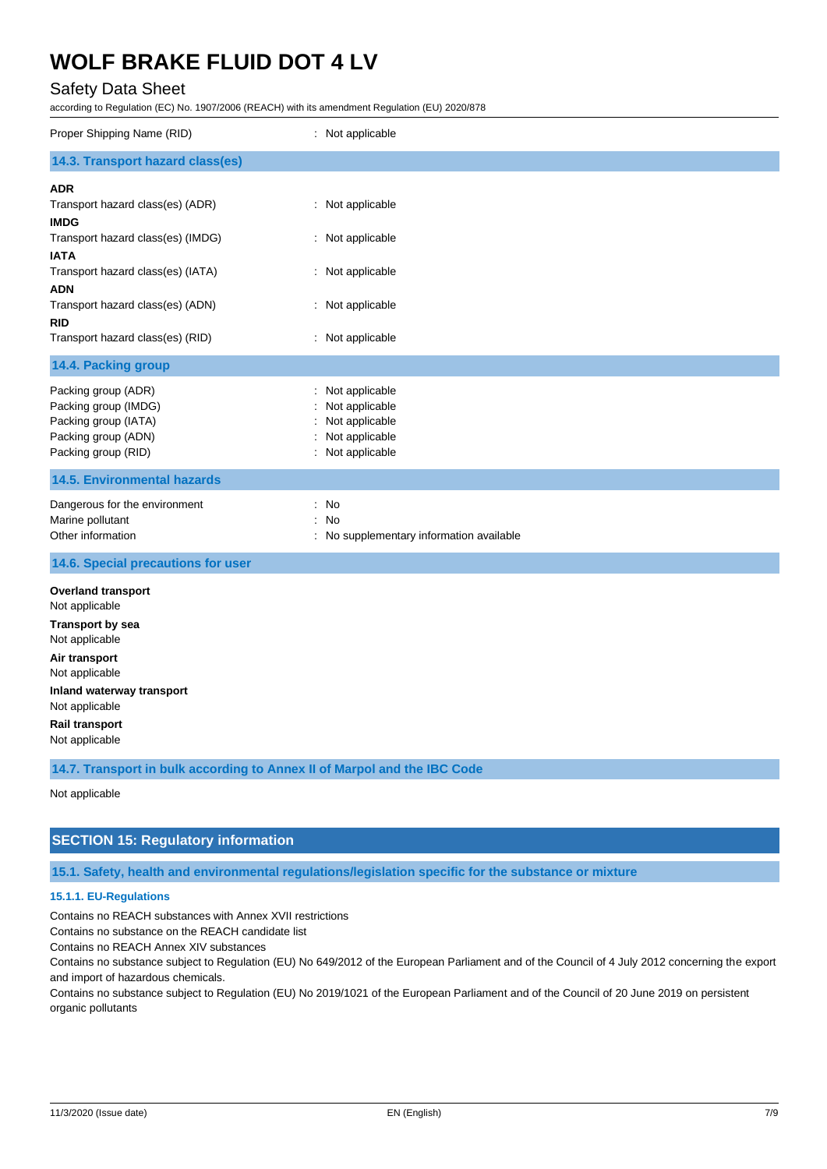# Safety Data Sheet

according to Regulation (EC) No. 1907/2006 (REACH) with its amendment Regulation (EU) 2020/878

| Proper Shipping Name (RID)                                                                                                                                                                                                                                 | : Not applicable                                                                                 |
|------------------------------------------------------------------------------------------------------------------------------------------------------------------------------------------------------------------------------------------------------------|--------------------------------------------------------------------------------------------------|
| 14.3. Transport hazard class(es)                                                                                                                                                                                                                           |                                                                                                  |
| <b>ADR</b><br>Transport hazard class(es) (ADR)<br><b>IMDG</b><br>Transport hazard class(es) (IMDG)<br><b>IATA</b><br>Transport hazard class(es) (IATA)<br><b>ADN</b><br>Transport hazard class(es) (ADN)<br><b>RID</b><br>Transport hazard class(es) (RID) | : Not applicable<br>: Not applicable<br>: Not applicable<br>: Not applicable<br>: Not applicable |
| 14.4. Packing group                                                                                                                                                                                                                                        |                                                                                                  |
| Packing group (ADR)<br>Packing group (IMDG)<br>Packing group (IATA)<br>Packing group (ADN)<br>Packing group (RID)                                                                                                                                          | : Not applicable<br>Not applicable<br>Not applicable<br>Not applicable<br>Not applicable         |
| <b>14.5. Environmental hazards</b>                                                                                                                                                                                                                         |                                                                                                  |
| Dangerous for the environment<br>Marine pollutant<br>Other information                                                                                                                                                                                     | : No<br>No<br>No supplementary information available                                             |
| 14.6. Special precautions for user                                                                                                                                                                                                                         |                                                                                                  |
| <b>Overland transport</b><br>Not applicable<br><b>Transport by sea</b><br>Not applicable<br>Air transport<br>Not applicable<br>Inland waterway transport<br>Not applicable<br><b>Rail transport</b><br>Not applicable                                      |                                                                                                  |
| 14.7. Transport in bulk according to Annex II of Marpol and the IBC Code                                                                                                                                                                                   |                                                                                                  |
| Not annlicable                                                                                                                                                                                                                                             |                                                                                                  |

Not applicable

# **SECTION 15: Regulatory information**

**15.1. Safety, health and environmental regulations/legislation specific for the substance or mixture**

#### **15.1.1. EU-Regulations**

Contains no REACH substances with Annex XVII restrictions

Contains no substance on the REACH candidate list

Contains no REACH Annex XIV substances

Contains no substance subject to Regulation (EU) No 649/2012 of the European Parliament and of the Council of 4 July 2012 concerning the export and import of hazardous chemicals.

Contains no substance subject to Regulation (EU) No 2019/1021 of the European Parliament and of the Council of 20 June 2019 on persistent organic pollutants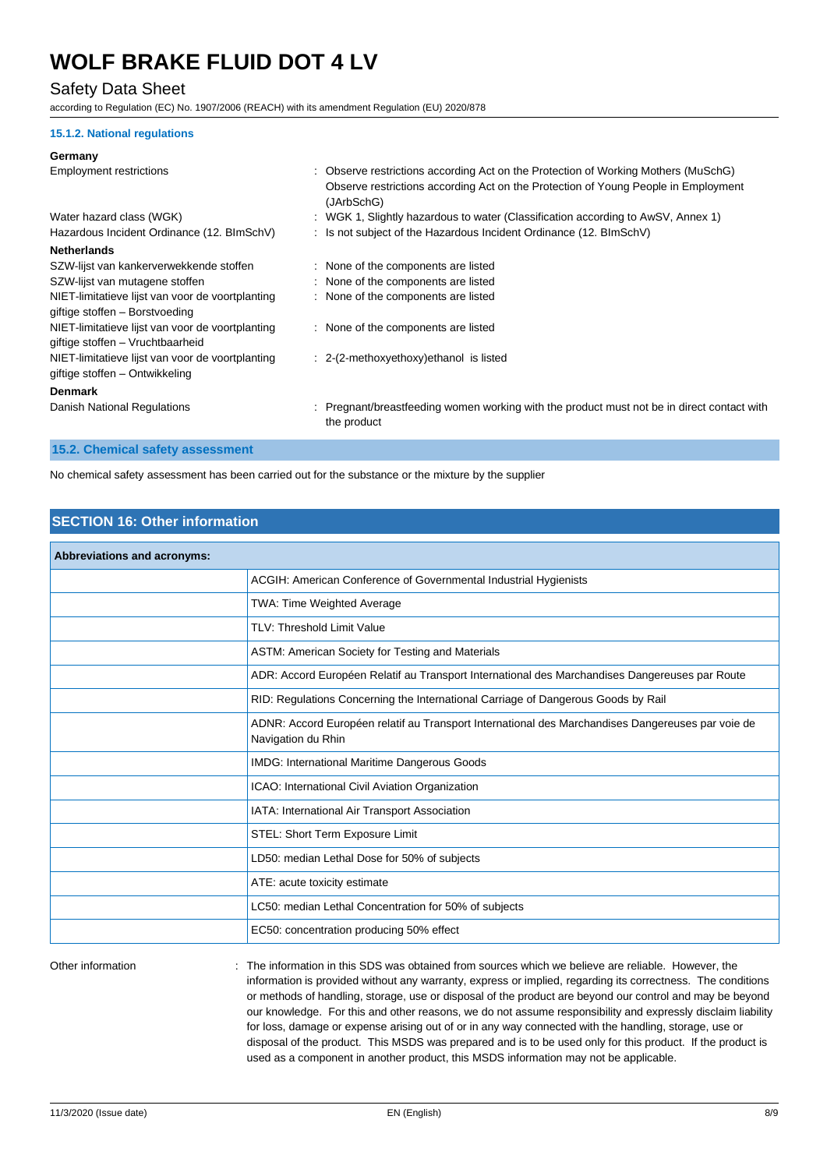# Safety Data Sheet

according to Regulation (EC) No. 1907/2006 (REACH) with its amendment Regulation (EU) 2020/878

#### **15.1.2. National regulations**

#### **Germany**

| <b>Employment restrictions</b>                                                       | : Observe restrictions according Act on the Protection of Working Mothers (MuSchG)<br>Observe restrictions according Act on the Protection of Young People in Employment<br>(JArbSchG) |
|--------------------------------------------------------------------------------------|----------------------------------------------------------------------------------------------------------------------------------------------------------------------------------------|
| Water hazard class (WGK)                                                             | : WGK 1, Slightly hazardous to water (Classification according to AwSV, Annex 1)                                                                                                       |
| Hazardous Incident Ordinance (12. BlmSchV)                                           | : Is not subject of the Hazardous Incident Ordinance (12. BImSchV)                                                                                                                     |
| <b>Netherlands</b>                                                                   |                                                                                                                                                                                        |
| SZW-lijst van kankerverwekkende stoffen                                              | : None of the components are listed                                                                                                                                                    |
| SZW-lijst van mutagene stoffen                                                       | : None of the components are listed                                                                                                                                                    |
| NIET-limitatieve lijst van voor de voortplanting<br>giftige stoffen - Borstvoeding   | : None of the components are listed                                                                                                                                                    |
| NIET-limitatieve lijst van voor de voortplanting<br>giftige stoffen - Vruchtbaarheid | : None of the components are listed                                                                                                                                                    |
| NIET-limitatieve lijst van voor de voortplanting<br>giftige stoffen – Ontwikkeling   | : 2-(2-methoxyethoxy) ethanol is listed                                                                                                                                                |
| <b>Denmark</b>                                                                       |                                                                                                                                                                                        |
| Danish National Regulations                                                          | : Pregnant/breastfeeding women working with the product must not be in direct contact with<br>the product                                                                              |

# **15.2. Chemical safety assessment**

No chemical safety assessment has been carried out for the substance or the mixture by the supplier

# **SECTION 16: Other information**

| <b>Abbreviations and acronyms:</b> |                                                                                                                         |
|------------------------------------|-------------------------------------------------------------------------------------------------------------------------|
|                                    | ACGIH: American Conference of Governmental Industrial Hygienists                                                        |
|                                    | TWA: Time Weighted Average                                                                                              |
|                                    | TLV: Threshold Limit Value                                                                                              |
|                                    | ASTM: American Society for Testing and Materials                                                                        |
|                                    | ADR: Accord Européen Relatif au Transport International des Marchandises Dangereuses par Route                          |
|                                    | RID: Regulations Concerning the International Carriage of Dangerous Goods by Rail                                       |
|                                    | ADNR: Accord Européen relatif au Transport International des Marchandises Dangereuses par voie de<br>Navigation du Rhin |
|                                    | <b>IMDG: International Maritime Dangerous Goods</b>                                                                     |
|                                    | ICAO: International Civil Aviation Organization                                                                         |
|                                    | IATA: International Air Transport Association                                                                           |
|                                    | STEL: Short Term Exposure Limit                                                                                         |
|                                    | LD50: median Lethal Dose for 50% of subjects                                                                            |
|                                    | ATE: acute toxicity estimate                                                                                            |
|                                    | LC50: median Lethal Concentration for 50% of subjects                                                                   |
|                                    | EC50: concentration producing 50% effect                                                                                |
|                                    |                                                                                                                         |

Other information **intumation** : The information in this SDS was obtained from sources which we believe are reliable. However, the information is provided without any warranty, express or implied, regarding its correctness. The conditions or methods of handling, storage, use or disposal of the product are beyond our control and may be beyond our knowledge. For this and other reasons, we do not assume responsibility and expressly disclaim liability for loss, damage or expense arising out of or in any way connected with the handling, storage, use or disposal of the product. This MSDS was prepared and is to be used only for this product. If the product is used as a component in another product, this MSDS information may not be applicable.